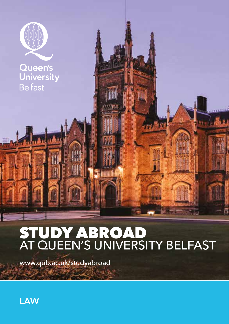

# STUDY ABROAD AT QUEEN'S UNIVERSITY BELFAST

www.qub.ac.uk/studyabroad

**LAW**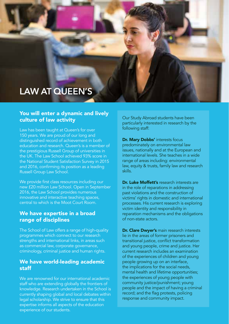# **LAW AT QUEEN'S**

#### You will enter a dynamic and lively culture of law activity

Law has been taught at Queen's for over 150 years. We are proud of our long and distinguished record of achievement in both education and research. Queen's is a member of the prestigious Russell Group of universities in the UK. The Law School achieved 93% score in the National Student Satisfaction Survey in 2015 and 2016, confirming its position as a leading Russell Group Law School.

We provide first class resources including our new £20 million Law School. Open in September 2016, the Law School provides numerous innovative and interactive teaching spaces, central to which is the Moot Court Room.

### We have expertise in a broad range of disciplines

The School of Law offers a range of high-quality programmes which connect to our research strengths and international links, in areas such as commercial law, corporate governance, criminology, criminal justice and human rights.

#### We have world-leading academic staff

We are renowned for our international academic staff who are extending globally the frontiers of knowledge. Research undertaken in the School is currently shaping global and local debates within legal scholarship. We strive to ensure that this expertise informs all aspects of the education experience of our students.

Our Study Abroad students have been particularly interested in research by the following staff:

Dr. Mary Dobbs' interests focus predominately on environmental law issues, nationally and at the European and international levels. She teaches in a wide range of areas including: environmental law, equity & trusts, family law and research skills.

Dr. Luke Moffett's research interests are in the role of reparations in addressing past violations and the construction of victims' rights in domestic and international processes. His current research is exploring victim identity and responsibility in reparation mechanisms and the obligations of non-state actors.

Dr. Clare Dwyer's main research interests lie in the areas of former prisoners and transitional justice, conflict transformation and young people, crime and justice. Her current research includes an examination of the experiences of children and young people growing up on an interface, the implications for the social needs, mental health and lifetime opportunities; the experiences of young people with community justice/punishment; young people and the impact of having a criminal record; and the flag protests, policing response and community impact.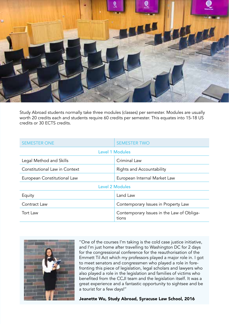

Study Abroad students normally take three modules (classes) per semester. Modules are usually worth 20 credits each and students require 60 credits per semester. This equates into 15-18 US credits or 30 ECTS credits.

| <b>SEMESTER ONE</b>           | <b>SEMESTER TWO</b>                                |
|-------------------------------|----------------------------------------------------|
| <b>Level 1 Modules</b>        |                                                    |
| Legal Method and Skills       | Criminal Law                                       |
| Constitutional Law in Context | Rights and Accountability                          |
| European Constitutional Law   | European Internal Market Law                       |
| <b>Level 2 Modules</b>        |                                                    |
| Equity                        | Land Law                                           |
| Contract Law                  | Contemporary Issues in Property Law                |
| Tort Law                      | Contemporary Issues in the Law of Obliga-<br>tions |



''One of the courses I'm taking is the cold case justice initiative, and I'm just home after travelling to Washington DC for 2 days for the congressional conference for the reauthorisation of the Emmett Til Act which my professors played a major role in. I got to meet senators and congressmen who played a role in forefronting this piece of legislation, legal scholars and lawyers who also played a role in the legislation and families of victims who benefited from the CCJI team and the legislation itself. It was a great experience and a fantastic opportunity to sightsee and be a tourist for a few days!''

Jeanette Wu, Study Abroad, Syracuse Law School, 2016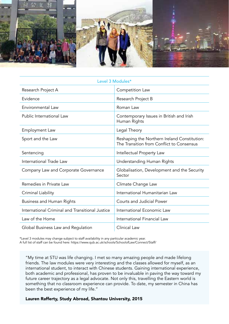

| Level 3 Modules*                                |                                                                                           |
|-------------------------------------------------|-------------------------------------------------------------------------------------------|
| Research Project A                              | Competition Law                                                                           |
| Evidence                                        | Research Project B                                                                        |
| Environmental Law                               | Roman Law                                                                                 |
| Public International Law                        | Contemporary Issues in British and Irish<br>Human Rights                                  |
| Employment Law                                  | Legal Theory                                                                              |
| Sport and the Law                               | Reshaping the Northern Ireland Constitution:<br>The Transition from Conflict to Consensus |
| Sentencing                                      | Intellectual Property Law                                                                 |
| International Trade Law                         | Understanding Human Rights                                                                |
| Company Law and Corporate Governance            | Globalisation, Development and the Security<br>Sector                                     |
| Remedies in Private Law                         | Climate Change Law                                                                        |
| Criminal Liability                              | International Humanitarian Law                                                            |
| Business and Human Rights                       | Courts and Judicial Power                                                                 |
| International Criminal and Transitional Justice | International Economic Law                                                                |
| Law of the Home                                 | International Financial Law                                                               |
| Global Business Law and Regulation              | Clinical Law                                                                              |

\*Level 3 modules may change subject to staff availability in any particular academic year. A full list of staff can be found here: https://www.qub.ac.uk/schools/SchoolofLaw/Connect/Staff/

"My time at STU was life changing. I met so many amazing people and made lifelong friends. The law modules were very interesting and the classes allowed for myself, as an international student, to interact with Chinese students. Gaining international experience, both academic and professional, has proven to be invaluable in paving the way toward my future career trajectory as a legal advocate. Not only this, travelling the Eastern world is something that no classroom experience can provide. To date, my semester in China has been the best experience of my life."

#### Lauren Rafferty, Study Abroad, Shantou University, 2015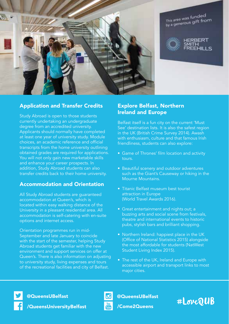

This area was funded This area was funced.<br>by a generous gift from



**FRRERT** EEHILLS

#### Application and Transfer Credits

Study Abroad is open to those students currently undertaking an undergraduate degree from an accredited university. Applicants should normally have completed at least one year of university study. Module choices, an academic reference and official transcripts from the home university outlining obtained grades are required for applications. You will not only gain new marketable skills and enhance your career prospects. In addition, Study Abroad students can also transfer credits back to their home university.

#### Accommodation and Orientation

All Study Abroad students are guaranteed accommodation at Queen's, which is located within easy walking distance of the University in a pleasant residential area. All accommodation is self-catering with en-suite options and internet access.

Orientation programmes run in mid-September and late January to coincide with the start of the semester, helping Study Abroad students get familiar with the new environment and support services on offer at Queen's. There is also information on adjusting to university study, living expenses and tours of the recreational facilities and city of Belfast.

#### Explore Belfast, Northern Ireland and Europe

Belfast itself is a fun city on the current 'Must See' destination lists. It is also the safest region in the UK (British Crime Survey 2014). Awash with enthusiasm, culture and that famous Irish friendliness, students can also explore:

- Game of Thrones' film location and activity tours.
- Beautiful scenery and outdoor adventures such as the Giant's Causeway or hiking in the Mourne Mountains.
- Titanic Belfast museum best tourist attraction in Europe (World Travel Awards 2016).
- Great entertainment and nights out; a buzzing arts and social scene from festivals, theatre and international events to historic pubs, stylish bars and brilliant shopping.
- Northern Ireland: happiest place in the UK (Office of National Statistics 2015) alongside the most affordable for students (NatWest Student Living Index 2015).
- The rest of the UK, Ireland and Europe with accessible airport and transport links to most major cities.

/QueensUniversityBelfast



@QueensUBelfast

/Come2Queens